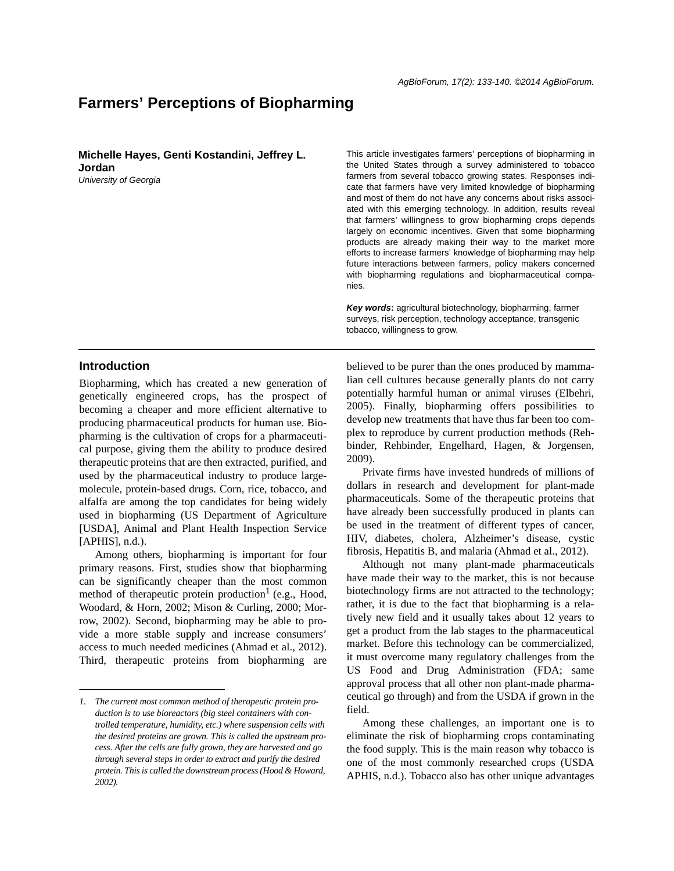# **Farmers' Perceptions of Biopharming**

**Michelle Hayes, Genti Kostandini, Jeffrey L. Jordan**

*University of Georgia*

This article investigates farmers' perceptions of biopharming in the United States through a survey administered to tobacco farmers from several tobacco growing states. Responses indicate that farmers have very limited knowledge of biopharming and most of them do not have any concerns about risks associated with this emerging technology. In addition, results reveal that farmers' willingness to grow biopharming crops depends largely on economic incentives. Given that some biopharming products are already making their way to the market more efforts to increase farmers' knowledge of biopharming may help future interactions between farmers, policy makers concerned with biopharming regulations and biopharmaceutical companies.

*Key words***:** agricultural biotechnology, biopharming, farmer surveys, risk perception, technology acceptance, transgenic tobacco, willingness to grow.

## **Introduction**

Biopharming, which has created a new generation of genetically engineered crops, has the prospect of becoming a cheaper and more efficient alternative to producing pharmaceutical products for human use. Biopharming is the cultivation of crops for a pharmaceutical purpose, giving them the ability to produce desired therapeutic proteins that are then extracted, purified, and used by the pharmaceutical industry to produce largemolecule, protein-based drugs. Corn, rice, tobacco, and alfalfa are among the top candidates for being widely used in biopharming (US Department of Agriculture [USDA], Animal and Plant Health Inspection Service  $[APHIS]$ , n.d.).

Among others, biopharming is important for four primary reasons. First, studies show that biopharming can be significantly cheaper than the most common method of therapeutic protein production<sup> $1$ </sup> (e.g., Hood, Woodard, & Horn, 2002; Mison & Curling, 2000; Morrow, 2002). Second, biopharming may be able to provide a more stable supply and increase consumers' access to much needed medicines (Ahmad et al., 2012). Third, therapeutic proteins from biopharming are

believed to be purer than the ones produced by mammalian cell cultures because generally plants do not carry potentially harmful human or animal viruses (Elbehri, 2005). Finally, biopharming offers possibilities to develop new treatments that have thus far been too complex to reproduce by current production methods (Rehbinder, Rehbinder, Engelhard, Hagen, & Jorgensen, 2009).

Private firms have invested hundreds of millions of dollars in research and development for plant-made pharmaceuticals. Some of the therapeutic proteins that have already been successfully produced in plants can be used in the treatment of different types of cancer, HIV, diabetes, cholera, Alzheimer's disease, cystic fibrosis, Hepatitis B, and malaria (Ahmad et al., 2012).

Although not many plant-made pharmaceuticals have made their way to the market, this is not because biotechnology firms are not attracted to the technology; rather, it is due to the fact that biopharming is a relatively new field and it usually takes about 12 years to get a product from the lab stages to the pharmaceutical market. Before this technology can be commercialized, it must overcome many regulatory challenges from the US Food and Drug Administration (FDA; same approval process that all other non plant-made pharmaceutical go through) and from the USDA if grown in the field.

Among these challenges, an important one is to eliminate the risk of biopharming crops contaminating the food supply. This is the main reason why tobacco is one of the most commonly researched crops (USDA APHIS, n.d.). Tobacco also has other unique advantages

*<sup>1.</sup> The current most common method of therapeutic protein production is to use bioreactors (big steel containers with controlled temperature, humidity, etc.) where suspension cells with the desired proteins are grown. This is called the upstream process. After the cells are fully grown, they are harvested and go through several steps in order to extract and purify the desired protein. This is called the downstream process (Hood & Howard, 2002).*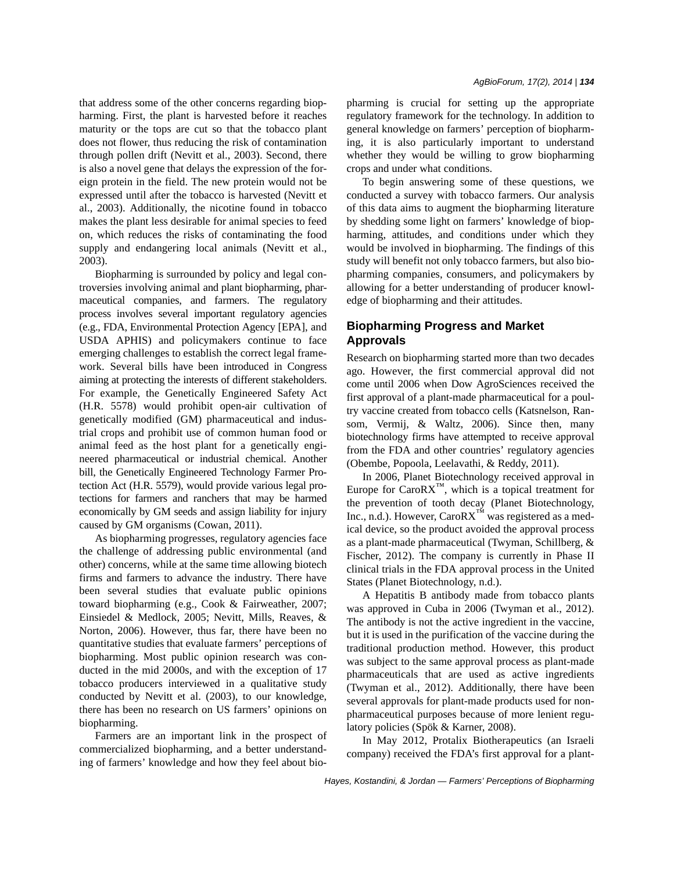that address some of the other concerns regarding biopharming. First, the plant is harvested before it reaches maturity or the tops are cut so that the tobacco plant does not flower, thus reducing the risk of contamination through pollen drift (Nevitt et al., 2003). Second, there is also a novel gene that delays the expression of the foreign protein in the field. The new protein would not be expressed until after the tobacco is harvested (Nevitt et al., 2003). Additionally, the nicotine found in tobacco makes the plant less desirable for animal species to feed on, which reduces the risks of contaminating the food supply and endangering local animals (Nevitt et al., 2003).

Biopharming is surrounded by policy and legal controversies involving animal and plant biopharming, pharmaceutical companies, and farmers. The regulatory process involves several important regulatory agencies (e.g., FDA, Environmental Protection Agency [EPA], and USDA APHIS) and policymakers continue to face emerging challenges to establish the correct legal framework. Several bills have been introduced in Congress aiming at protecting the interests of different stakeholders. For example, the Genetically Engineered Safety Act (H.R. 5578) would prohibit open-air cultivation of genetically modified (GM) pharmaceutical and industrial crops and prohibit use of common human food or animal feed as the host plant for a genetically engineered pharmaceutical or industrial chemical. Another bill, the Genetically Engineered Technology Farmer Protection Act (H.R. 5579), would provide various legal protections for farmers and ranchers that may be harmed economically by GM seeds and assign liability for injury caused by GM organisms (Cowan, 2011).

As biopharming progresses, regulatory agencies face the challenge of addressing public environmental (and other) concerns, while at the same time allowing biotech firms and farmers to advance the industry. There have been several studies that evaluate public opinions toward biopharming (e.g., Cook & Fairweather, 2007; Einsiedel & Medlock, 2005; Nevitt, Mills, Reaves, & Norton, 2006). However, thus far, there have been no quantitative studies that evaluate farmers' perceptions of biopharming. Most public opinion research was conducted in the mid 2000s, and with the exception of 17 tobacco producers interviewed in a qualitative study conducted by Nevitt et al. (2003), to our knowledge, there has been no research on US farmers' opinions on biopharming.

Farmers are an important link in the prospect of commercialized biopharming, and a better understanding of farmers' knowledge and how they feel about biopharming is crucial for setting up the appropriate regulatory framework for the technology. In addition to general knowledge on farmers' perception of biopharming, it is also particularly important to understand whether they would be willing to grow biopharming crops and under what conditions.

To begin answering some of these questions, we conducted a survey with tobacco farmers. Our analysis of this data aims to augment the biopharming literature by shedding some light on farmers' knowledge of biopharming, attitudes, and conditions under which they would be involved in biopharming. The findings of this study will benefit not only tobacco farmers, but also biopharming companies, consumers, and policymakers by allowing for a better understanding of producer knowledge of biopharming and their attitudes.

## **Biopharming Progress and Market Approvals**

Research on biopharming started more than two decades ago. However, the first commercial approval did not come until 2006 when Dow AgroSciences received the first approval of a plant-made pharmaceutical for a poultry vaccine created from tobacco cells (Katsnelson, Ransom, Vermij, & Waltz, 2006). Since then, many biotechnology firms have attempted to receive approval from the FDA and other countries' regulatory agencies (Obembe, Popoola, Leelavathi, & Reddy, 2011).

In 2006, Planet Biotechnology received approval in Europe for Caro $\overline{RX}^m$ , which is a topical treatment for the prevention of tooth decay (Planet Biotechnology, Inc., n.d.). However,  $CaroRX^{TM}$  was registered as a medical device, so the product avoided the approval process as a plant-made pharmaceutical (Twyman, Schillberg, & Fischer, 2012). The company is currently in Phase II clinical trials in the FDA approval process in the United States (Planet Biotechnology, n.d.).

A Hepatitis B antibody made from tobacco plants was approved in Cuba in 2006 (Twyman et al., 2012). The antibody is not the active ingredient in the vaccine, but it is used in the purification of the vaccine during the traditional production method. However, this product was subject to the same approval process as plant-made pharmaceuticals that are used as active ingredients (Twyman et al., 2012). Additionally, there have been several approvals for plant-made products used for nonpharmaceutical purposes because of more lenient regulatory policies (Spök & Karner, 2008).

In May 2012, Protalix Biotherapeutics (an Israeli company) received the FDA's first approval for a plant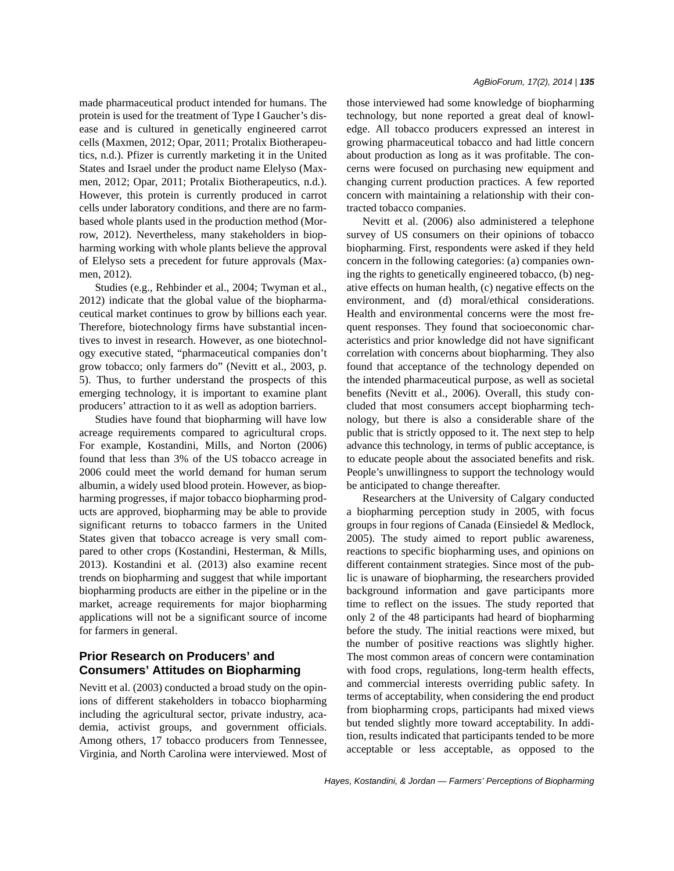made pharmaceutical product intended for humans. The protein is used for the treatment of Type I Gaucher's disease and is cultured in genetically engineered carrot cells (Maxmen, 2012; Opar, 2011; Protalix Biotherapeutics, n.d.). Pfizer is currently marketing it in the United States and Israel under the product name Elelyso (Maxmen, 2012; Opar, 2011; Protalix Biotherapeutics, n.d.). However, this protein is currently produced in carrot cells under laboratory conditions, and there are no farmbased whole plants used in the production method (Morrow, 2012). Nevertheless, many stakeholders in biopharming working with whole plants believe the approval of Elelyso sets a precedent for future approvals (Maxmen, 2012).

Studies (e.g., Rehbinder et al., 2004; Twyman et al., 2012) indicate that the global value of the biopharmaceutical market continues to grow by billions each year. Therefore, biotechnology firms have substantial incentives to invest in research. However, as one biotechnology executive stated, "pharmaceutical companies don't grow tobacco; only farmers do" (Nevitt et al., 2003, p. 5). Thus, to further understand the prospects of this emerging technology, it is important to examine plant producers' attraction to it as well as adoption barriers.

Studies have found that biopharming will have low acreage requirements compared to agricultural crops. For example, Kostandini, Mills, and Norton (2006) found that less than 3% of the US tobacco acreage in 2006 could meet the world demand for human serum albumin, a widely used blood protein. However, as biopharming progresses, if major tobacco biopharming products are approved, biopharming may be able to provide significant returns to tobacco farmers in the United States given that tobacco acreage is very small compared to other crops (Kostandini, Hesterman, & Mills, 2013). Kostandini et al. (2013) also examine recent trends on biopharming and suggest that while important biopharming products are either in the pipeline or in the market, acreage requirements for major biopharming applications will not be a significant source of income for farmers in general.

## **Prior Research on Producers' and Consumers' Attitudes on Biopharming**

Nevitt et al. (2003) conducted a broad study on the opinions of different stakeholders in tobacco biopharming including the agricultural sector, private industry, academia, activist groups, and government officials. Among others, 17 tobacco producers from Tennessee, Virginia, and North Carolina were interviewed. Most of those interviewed had some knowledge of biopharming technology, but none reported a great deal of knowledge. All tobacco producers expressed an interest in growing pharmaceutical tobacco and had little concern about production as long as it was profitable. The concerns were focused on purchasing new equipment and changing current production practices. A few reported concern with maintaining a relationship with their contracted tobacco companies.

Nevitt et al. (2006) also administered a telephone survey of US consumers on their opinions of tobacco biopharming. First, respondents were asked if they held concern in the following categories: (a) companies owning the rights to genetically engineered tobacco, (b) negative effects on human health, (c) negative effects on the environment, and (d) moral/ethical considerations. Health and environmental concerns were the most frequent responses. They found that socioeconomic characteristics and prior knowledge did not have significant correlation with concerns about biopharming. They also found that acceptance of the technology depended on the intended pharmaceutical purpose, as well as societal benefits (Nevitt et al., 2006). Overall, this study concluded that most consumers accept biopharming technology, but there is also a considerable share of the public that is strictly opposed to it. The next step to help advance this technology, in terms of public acceptance, is to educate people about the associated benefits and risk. People's unwillingness to support the technology would be anticipated to change thereafter.

Researchers at the University of Calgary conducted a biopharming perception study in 2005, with focus groups in four regions of Canada (Einsiedel & Medlock, 2005). The study aimed to report public awareness, reactions to specific biopharming uses, and opinions on different containment strategies. Since most of the public is unaware of biopharming, the researchers provided background information and gave participants more time to reflect on the issues. The study reported that only 2 of the 48 participants had heard of biopharming before the study. The initial reactions were mixed, but the number of positive reactions was slightly higher. The most common areas of concern were contamination with food crops, regulations, long-term health effects, and commercial interests overriding public safety. In terms of acceptability, when considering the end product from biopharming crops, participants had mixed views but tended slightly more toward acceptability. In addition, results indicated that participants tended to be more acceptable or less acceptable, as opposed to the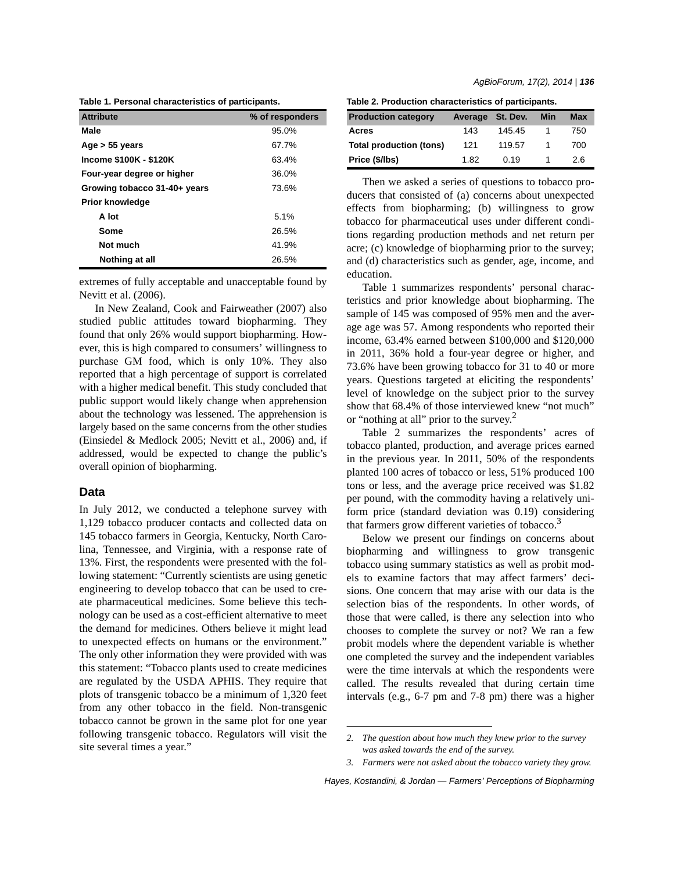**Table 1. Personal characteristics of participants.**

| <b>Attribute</b>             | % of responders |
|------------------------------|-----------------|
| Male                         | 95.0%           |
| Age $> 55$ years             | 67.7%           |
| Income \$100K - \$120K       | 63.4%           |
| Four-year degree or higher   | 36.0%           |
| Growing tobacco 31-40+ years | 73.6%           |
| <b>Prior knowledge</b>       |                 |
| A lot                        | 5.1%            |
| Some                         | 26.5%           |
| Not much                     | 41.9%           |
| Nothing at all               | 26.5%           |

extremes of fully acceptable and unacceptable found by Nevitt et al. (2006).

In New Zealand, Cook and Fairweather (2007) also studied public attitudes toward biopharming. They found that only 26% would support biopharming. However, this is high compared to consumers' willingness to purchase GM food, which is only 10%. They also reported that a high percentage of support is correlated with a higher medical benefit. This study concluded that public support would likely change when apprehension about the technology was lessened. The apprehension is largely based on the same concerns from the other studies (Einsiedel & Medlock 2005; Nevitt et al., 2006) and, if addressed, would be expected to change the public's overall opinion of biopharming.

### **Data**

In July 2012, we conducted a telephone survey with 1,129 tobacco producer contacts and collected data on 145 tobacco farmers in Georgia, Kentucky, North Carolina, Tennessee, and Virginia, with a response rate of 13%. First, the respondents were presented with the following statement: "Currently scientists are using genetic engineering to develop tobacco that can be used to create pharmaceutical medicines. Some believe this technology can be used as a cost-efficient alternative to meet the demand for medicines. Others believe it might lead to unexpected effects on humans or the environment." The only other information they were provided with was this statement: "Tobacco plants used to create medicines are regulated by the USDA APHIS. They require that plots of transgenic tobacco be a minimum of 1,320 feet from any other tobacco in the field. Non-transgenic tobacco cannot be grown in the same plot for one year following transgenic tobacco. Regulators will visit the site several times a year."

**Table 2. Production characteristics of participants.**

| <b>Production category</b> | Average St. Dev. |        | Min | <b>Max</b> |
|----------------------------|------------------|--------|-----|------------|
| Acres                      | 143              | 145.45 |     | 750        |
| Total production (tons)    | 121              | 119.57 |     | 700        |
| Price (\$/lbs)             | 1.82             | 0.19   |     | 2.6        |

Then we asked a series of questions to tobacco producers that consisted of (a) concerns about unexpected effects from biopharming; (b) willingness to grow tobacco for pharmaceutical uses under different conditions regarding production methods and net return per acre; (c) knowledge of biopharming prior to the survey; and (d) characteristics such as gender, age, income, and education.

Table 1 summarizes respondents' personal characteristics and prior knowledge about biopharming. The sample of 145 was composed of 95% men and the average age was 57. Among respondents who reported their income, 63.4% earned between \$100,000 and \$120,000 in 2011, 36% hold a four-year degree or higher, and 73.6% have been growing tobacco for 31 to 40 or more years. Questions targeted at eliciting the respondents' level of knowledge on the subject prior to the survey show that 68.4% of those interviewed knew "not much" or "nothing at all" prior to the survey.<sup>2</sup>

Table 2 summarizes the respondents' acres of tobacco planted, production, and average prices earned in the previous year. In 2011, 50% of the respondents planted 100 acres of tobacco or less, 51% produced 100 tons or less, and the average price received was \$1.82 per pound, with the commodity having a relatively uniform price (standard deviation was 0.19) considering that farmers grow different varieties of tobacco. $3$ 

Below we present our findings on concerns about biopharming and willingness to grow transgenic tobacco using summary statistics as well as probit models to examine factors that may affect farmers' decisions. One concern that may arise with our data is the selection bias of the respondents. In other words, of those that were called, is there any selection into who chooses to complete the survey or not? We ran a few probit models where the dependent variable is whether one completed the survey and the independent variables were the time intervals at which the respondents were called. The results revealed that during certain time intervals (e.g., 6-7 pm and 7-8 pm) there was a higher

*3. Farmers were not asked about the tobacco variety they grow.*

*Hayes, Kostandini, & Jordan — Farmers' Perceptions of Biopharming*

*<sup>2.</sup> The question about how much they knew prior to the survey was asked towards the end of the survey.*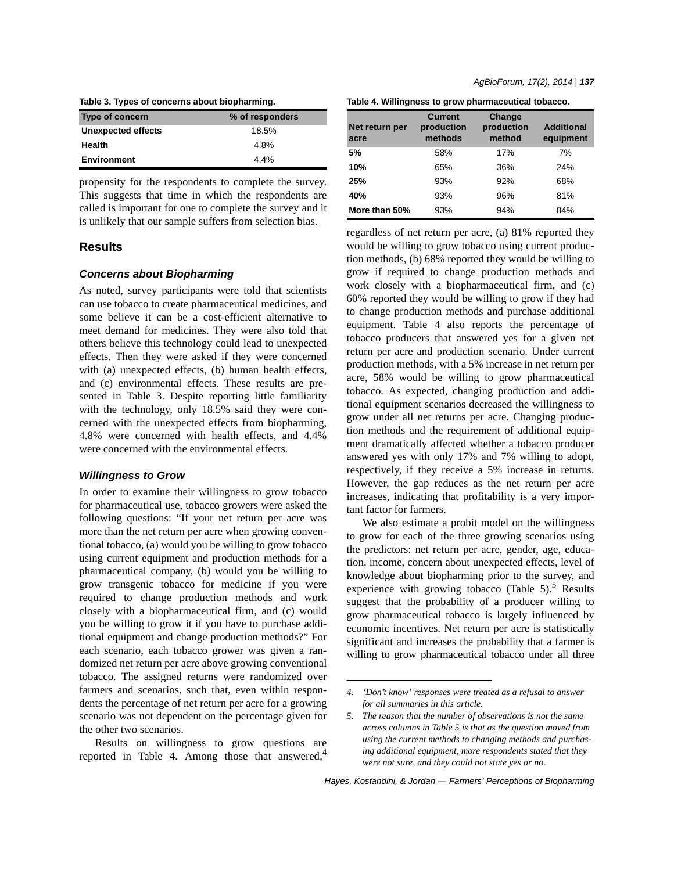**Table 3. Types of concerns about biopharming.**

| Type of concern    | % of responders |  |
|--------------------|-----------------|--|
| Unexpected effects | 18.5%           |  |
| <b>Health</b>      | 4.8%            |  |
| <b>Environment</b> | 4.4%            |  |

propensity for the respondents to complete the survey. This suggests that time in which the respondents are called is important for one to complete the survey and it is unlikely that our sample suffers from selection bias.

## **Results**

#### *Concerns about Biopharming*

As noted, survey participants were told that scientists can use tobacco to create pharmaceutical medicines, and some believe it can be a cost-efficient alternative to meet demand for medicines. They were also told that others believe this technology could lead to unexpected effects. Then they were asked if they were concerned with (a) unexpected effects, (b) human health effects, and (c) environmental effects. These results are presented in Table 3. Despite reporting little familiarity with the technology, only 18.5% said they were concerned with the unexpected effects from biopharming, 4.8% were concerned with health effects, and 4.4% were concerned with the environmental effects.

### *Willingness to Grow*

In order to examine their willingness to grow tobacco for pharmaceutical use, tobacco growers were asked the following questions: "If your net return per acre was more than the net return per acre when growing conventional tobacco, (a) would you be willing to grow tobacco using current equipment and production methods for a pharmaceutical company, (b) would you be willing to grow transgenic tobacco for medicine if you were required to change production methods and work closely with a biopharmaceutical firm, and (c) would you be willing to grow it if you have to purchase additional equipment and change production methods?" For each scenario, each tobacco grower was given a randomized net return per acre above growing conventional tobacco. The assigned returns were randomized over farmers and scenarios, such that, even within respondents the percentage of net return per acre for a growing scenario was not dependent on the percentage given for the other two scenarios.

Results on willingness to grow questions are reported in Table 4. Among those that answered, $4$  **Table 4. Willingness to grow pharmaceutical tobacco.**

| Net return per<br>acre | <b>Current</b><br>production<br>methods | Change<br>production<br>method | <b>Additional</b><br>equipment |
|------------------------|-----------------------------------------|--------------------------------|--------------------------------|
| 5%                     | 58%                                     | 17%                            | 7%                             |
| 10%                    | 65%                                     | 36%                            | 24%                            |
| 25%                    | 93%                                     | 92%                            | 68%                            |
| 40%                    | 93%                                     | 96%                            | 81%                            |
| More than 50%          | 93%                                     | 94%                            | 84%                            |

regardless of net return per acre, (a) 81% reported they would be willing to grow tobacco using current production methods, (b) 68% reported they would be willing to grow if required to change production methods and work closely with a biopharmaceutical firm, and (c) 60% reported they would be willing to grow if they had to change production methods and purchase additional equipment. Table 4 also reports the percentage of tobacco producers that answered yes for a given net return per acre and production scenario. Under current production methods, with a 5% increase in net return per acre, 58% would be willing to grow pharmaceutical tobacco. As expected, changing production and additional equipment scenarios decreased the willingness to grow under all net returns per acre. Changing production methods and the requirement of additional equipment dramatically affected whether a tobacco producer answered yes with only 17% and 7% willing to adopt, respectively, if they receive a 5% increase in returns. However, the gap reduces as the net return per acre increases, indicating that profitability is a very important factor for farmers.

We also estimate a probit model on the willingness to grow for each of the three growing scenarios using the predictors: net return per acre, gender, age, education, income, concern about unexpected effects, level of knowledge about biopharming prior to the survey, and experience with growing tobacco (Table  $5$ ).<sup>5</sup> Results suggest that the probability of a producer willing to grow pharmaceutical tobacco is largely influenced by economic incentives. Net return per acre is statistically significant and increases the probability that a farmer is willing to grow pharmaceutical tobacco under all three

*<sup>4. &#</sup>x27;Don't know' responses were treated as a refusal to answer for all summaries in this article.*

*<sup>5.</sup> The reason that the number of observations is not the same across columns in Table 5 is that as the question moved from using the current methods to changing methods and purchasing additional equipment, more respondents stated that they were not sure, and they could not state yes or no.*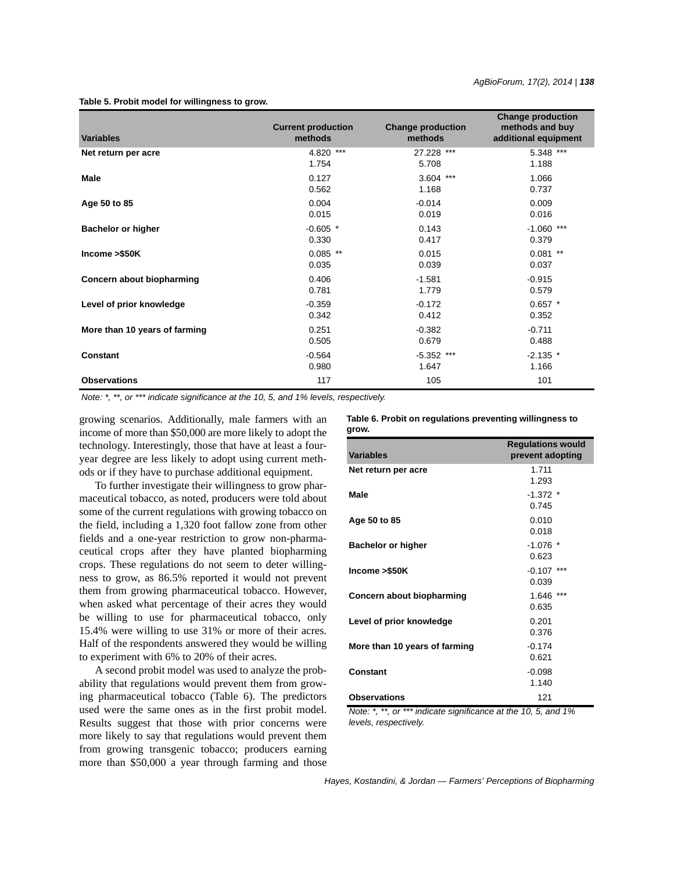### **Table 5. Probit model for willingness to grow.**

| <b>Variables</b>              | <b>Current production</b><br>methods | <b>Change production</b><br>methods | <b>Change production</b><br>methods and buy<br>additional equipment |
|-------------------------------|--------------------------------------|-------------------------------------|---------------------------------------------------------------------|
| Net return per acre           | 4.820 ***                            | 27.228 ***                          | 5.348 ***                                                           |
|                               | 1.754                                | 5.708                               | 1.188                                                               |
| Male                          | 0.127                                | $3.604$ ***                         | 1.066                                                               |
|                               | 0.562                                | 1.168                               | 0.737                                                               |
| Age 50 to 85                  | 0.004                                | $-0.014$                            | 0.009                                                               |
|                               | 0.015                                | 0.019                               | 0.016                                                               |
| <b>Bachelor or higher</b>     | $-0.605$ *                           | 0.143                               | $-1.060$ ***                                                        |
|                               | 0.330                                | 0.417                               | 0.379                                                               |
| Income > \$50K                | $0.085$ **                           | 0.015                               | $0.081$ **                                                          |
|                               | 0.035                                | 0.039                               | 0.037                                                               |
| Concern about biopharming     | 0.406                                | $-1.581$                            | $-0.915$                                                            |
|                               | 0.781                                | 1.779                               | 0.579                                                               |
| Level of prior knowledge      | $-0.359$                             | $-0.172$                            | $0.657$ *                                                           |
|                               | 0.342                                | 0.412                               | 0.352                                                               |
| More than 10 years of farming | 0.251                                | $-0.382$                            | $-0.711$                                                            |
|                               | 0.505                                | 0.679                               | 0.488                                                               |
| <b>Constant</b>               | $-0.564$                             | $-5.352$ ***                        | $-2.135$ *                                                          |
|                               | 0.980                                | 1.647                               | 1.166                                                               |
| <b>Observations</b>           | 117                                  | 105                                 | 101                                                                 |

*Note: \*, \*\*, or \*\*\* indicate significance at the 10, 5, and 1% levels, respectively.*

growing scenarios. Additionally, male farmers with an income of more than \$50,000 are more likely to adopt the technology. Interestingly, those that have at least a fouryear degree are less likely to adopt using current methods or if they have to purchase additional equipment.

To further investigate their willingness to grow pharmaceutical tobacco, as noted, producers were told about some of the current regulations with growing tobacco on the field, including a 1,320 foot fallow zone from other fields and a one-year restriction to grow non-pharmaceutical crops after they have planted biopharming crops. These regulations do not seem to deter willingness to grow, as 86.5% reported it would not prevent them from growing pharmaceutical tobacco. However, when asked what percentage of their acres they would be willing to use for pharmaceutical tobacco, only 15.4% were willing to use 31% or more of their acres. Half of the respondents answered they would be willing to experiment with 6% to 20% of their acres.

A second probit model was used to analyze the probability that regulations would prevent them from growing pharmaceutical tobacco (Table 6). The predictors used were the same ones as in the first probit model. Results suggest that those with prior concerns were more likely to say that regulations would prevent them from growing transgenic tobacco; producers earning more than \$50,000 a year through farming and those

#### **Table 6. Probit on regulations preventing willingness to grow.**

| <b>Variables</b>              | <b>Regulations would</b><br>prevent adopting |
|-------------------------------|----------------------------------------------|
| Net return per acre           | 1.711<br>1.293                               |
| Male                          | $-1.372$ *<br>0.745                          |
| Age 50 to 85                  | 0.010<br>0.018                               |
| <b>Bachelor or higher</b>     | $-1.076$ *<br>0.623                          |
| Income >\$50K                 | ***<br>$-0.107$<br>0.039                     |
| Concern about biopharming     | $1.646$ ***<br>0.635                         |
| Level of prior knowledge      | 0.201<br>0.376                               |
| More than 10 years of farming | $-0.174$<br>0.621                            |
| Constant                      | $-0.098$<br>1.140                            |
| <b>Observations</b>           | 121                                          |

*Note: \*, \*\*, or \*\*\* indicate significance at the 10, 5, and 1% levels, respectively.*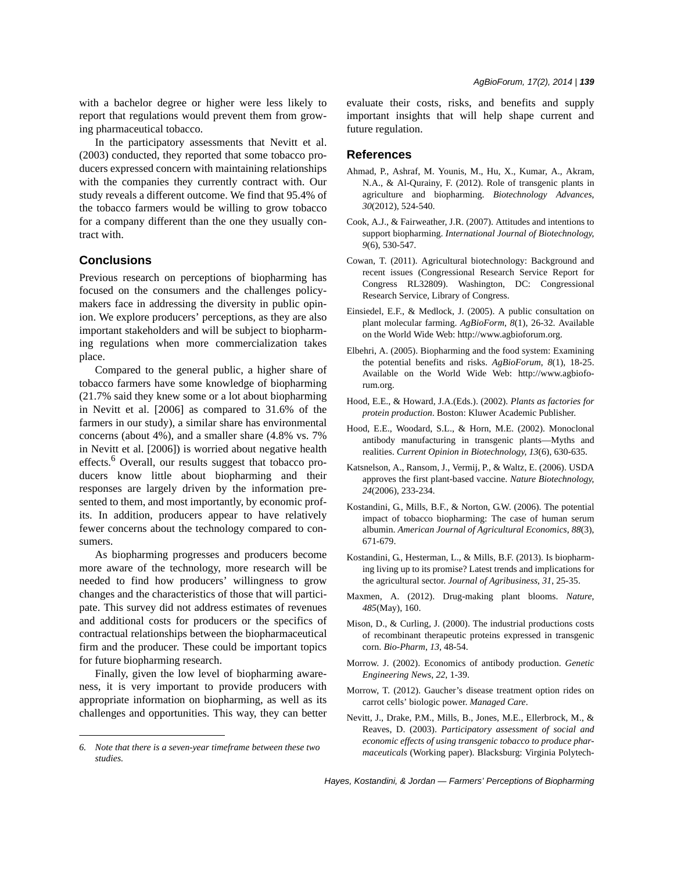with a bachelor degree or higher were less likely to report that regulations would prevent them from growing pharmaceutical tobacco.

In the participatory assessments that Nevitt et al. (2003) conducted, they reported that some tobacco producers expressed concern with maintaining relationships with the companies they currently contract with. Our study reveals a different outcome. We find that 95.4% of the tobacco farmers would be willing to grow tobacco for a company different than the one they usually contract with.

## **Conclusions**

Previous research on perceptions of biopharming has focused on the consumers and the challenges policymakers face in addressing the diversity in public opinion. We explore producers' perceptions, as they are also important stakeholders and will be subject to biopharming regulations when more commercialization takes place.

Compared to the general public, a higher share of tobacco farmers have some knowledge of biopharming (21.7% said they knew some or a lot about biopharming in Nevitt et al. [2006] as compared to 31.6% of the farmers in our study), a similar share has environmental concerns (about 4%), and a smaller share (4.8% vs. 7% in Nevitt et al. [2006]) is worried about negative health effects.<sup>6</sup> Overall, our results suggest that tobacco producers know little about biopharming and their responses are largely driven by the information presented to them, and most importantly, by economic profits. In addition, producers appear to have relatively fewer concerns about the technology compared to consumers.

As biopharming progresses and producers become more aware of the technology, more research will be needed to find how producers' willingness to grow changes and the characteristics of those that will participate. This survey did not address estimates of revenues and additional costs for producers or the specifics of contractual relationships between the biopharmaceutical firm and the producer. These could be important topics for future biopharming research.

Finally, given the low level of biopharming awareness, it is very important to provide producers with appropriate information on biopharming, as well as its challenges and opportunities. This way, they can better evaluate their costs, risks, and benefits and supply important insights that will help shape current and future regulation.

### **References**

- Ahmad, P., Ashraf, M. Younis, M., Hu, X., Kumar, A., Akram, N.A., & Al-Qurainy, F. (2012). Role of transgenic plants in agriculture and biopharming. *Biotechnology Advances*, *30*(2012), 524-540.
- Cook, A.J., & Fairweather, J.R. (2007). Attitudes and intentions to support biopharming. *International Journal of Biotechnology*, *9*(6), 530-547.
- Cowan, T. (2011). Agricultural biotechnology: Background and recent issues (Congressional Research Service Report for Congress RL32809). Washington, DC: Congressional Research Service, Library of Congress.
- Einsiedel, E.F., & Medlock, J. (2005). A public consultation on plant molecular farming. *AgBioForm*, *8*(1), 26-32. Available on the World Wide Web: http://www.agbioforum.org.
- Elbehri, A. (2005). Biopharming and the food system: Examining the potential benefits and risks. *AgBioForum*, *8*(1), 18-25. Available on the World Wide Web: http://www.agbioforum.org.
- Hood, E.E., & Howard, J.A.(Eds.). (2002). *Plants as factories for protein production*. Boston: Kluwer Academic Publisher.
- Hood, E.E., Woodard, S.L., & Horn, M.E. (2002). Monoclonal antibody manufacturing in transgenic plants—Myths and realities. *Current Opinion in Biotechnology*, *13*(6), 630-635.
- Katsnelson, A., Ransom, J., Vermij, P., & Waltz, E. (2006). USDA approves the first plant-based vaccine. *Nature Biotechnology*, *24*(2006), 233-234.
- Kostandini, G., Mills, B.F., & Norton, G.W. (2006). The potential impact of tobacco biopharming: The case of human serum albumin. *American Journal of Agricultural Economics*, *88*(3), 671-679.
- Kostandini, G., Hesterman, L., & Mills, B.F. (2013). Is biopharming living up to its promise? Latest trends and implications for the agricultural sector. *Journal of Agribusiness*, *31*, 25-35.
- Maxmen, A. (2012). Drug-making plant blooms. *Nature*, *485*(May), 160.
- Mison, D., & Curling, J. (2000). The industrial productions costs of recombinant therapeutic proteins expressed in transgenic corn. *Bio-Pharm*, *13*, 48-54.
- Morrow. J. (2002). Economics of antibody production. *Genetic Engineering News*, *22*, 1-39.
- Morrow, T. (2012). Gaucher's disease treatment option rides on carrot cells' biologic power. *Managed Care*.
- Nevitt, J., Drake, P.M., Mills, B., Jones, M.E., Ellerbrock, M., & Reaves, D. (2003). *Participatory assessment of social and economic effects of using transgenic tobacco to produce pharmaceuticals* (Working paper). Blacksburg: Virginia Polytech- *6. Note that there is a seven-year timeframe between these two*

*studies.*